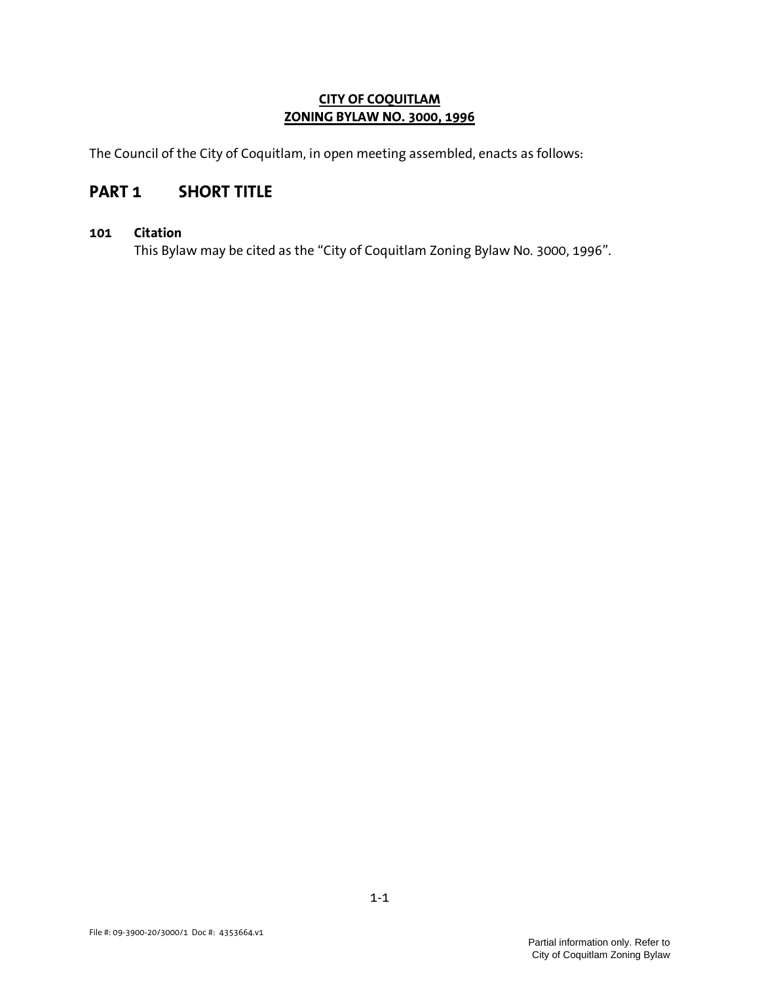## CITY OF COQUITLAM ZONING BYLAW NO. 3000, 1996

The Council of the City of Coquitlam, in open meeting assembled, enacts as follows:

# PART 1 SHORT TITLE

## 101 Citation

This Bylaw may be cited as the "City of Coquitlam Zoning Bylaw No. 3000, 1996".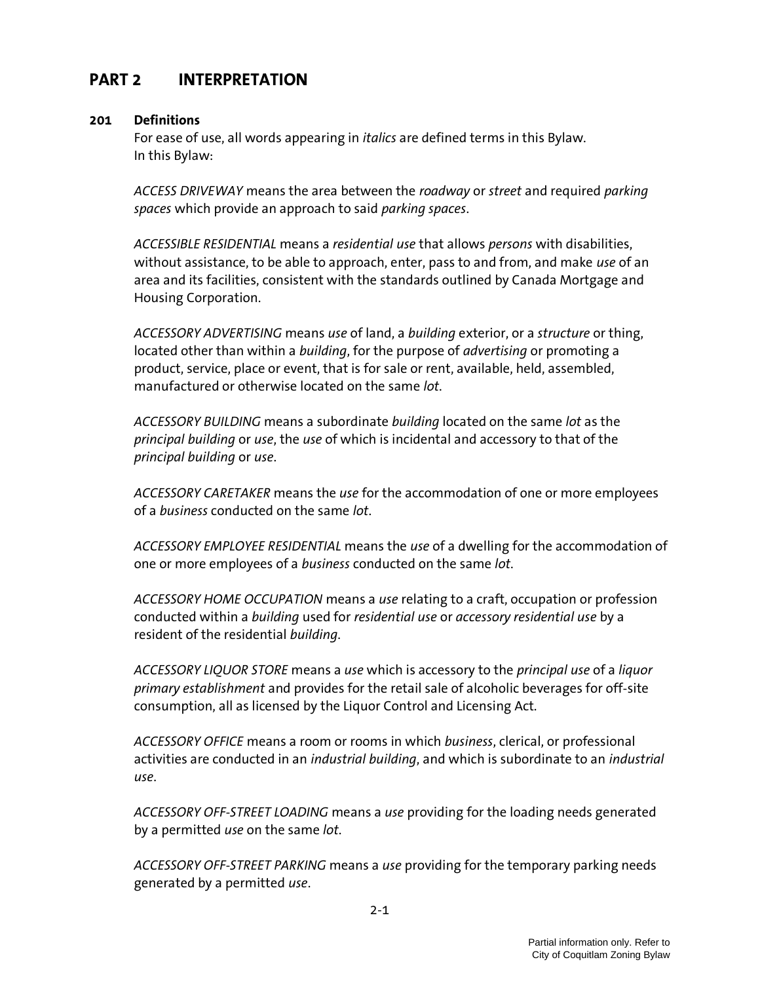## PART 2 INTERPRETATION

#### 201 Definitions

For ease of use, all words appearing in italics are defined terms in this Bylaw. In this Bylaw:

ACCESS DRIVEWAY means the area between the roadway or street and required parking spaces which provide an approach to said parking spaces.

ACCESSIBLE RESIDENTIAL means a residential use that allows persons with disabilities, without assistance, to be able to approach, enter, pass to and from, and make use of an area and its facilities, consistent with the standards outlined by Canada Mortgage and Housing Corporation.

ACCESSORY ADVERTISING means use of land, a building exterior, or a structure or thing, located other than within a *building*, for the purpose of *advertising* or promoting a product, service, place or event, that is for sale or rent, available, held, assembled, manufactured or otherwise located on the same lot.

ACCESSORY BUILDING means a subordinate building located on the same lot as the principal building or use, the use of which is incidental and accessory to that of the principal building or use.

ACCESSORY CARETAKER means the use for the accommodation of one or more employees of a business conducted on the same lot.

ACCESSORY EMPLOYEE RESIDENTIAL means the use of a dwelling for the accommodation of one or more employees of a business conducted on the same lot.

ACCESSORY HOME OCCUPATION means a use relating to a craft, occupation or profession conducted within a building used for residential use or accessory residential use by a resident of the residential building.

ACCESSORY LIQUOR STORE means a use which is accessory to the principal use of a liquor primary establishment and provides for the retail sale of alcoholic beverages for off-site consumption, all as licensed by the Liquor Control and Licensing Act.

ACCESSORY OFFICE means a room or rooms in which business, clerical, or professional activities are conducted in an *industrial building*, and which is subordinate to an *industrial* use.

ACCESSORY OFF-STREET LOADING means a use providing for the loading needs generated by a permitted use on the same lot.

ACCESSORY OFF-STREET PARKING means a use providing for the temporary parking needs generated by a permitted use.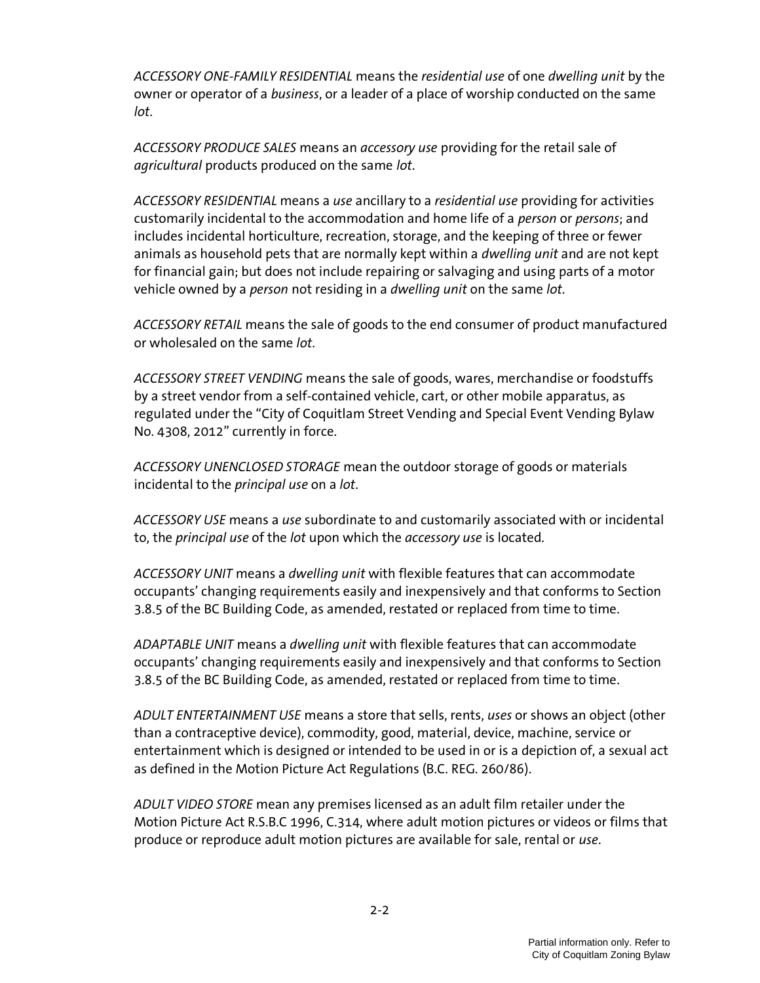ACCESSORY ONE-FAMILY RESIDENTIAL means the residential use of one dwelling unit by the owner or operator of a business, or a leader of a place of worship conducted on the same lot.

ACCESSORY PRODUCE SALES means an *accessory use* providing for the retail sale of agricultural products produced on the same lot.

ACCESSORY RESIDENTIAL means a use ancillary to a residential use providing for activities customarily incidental to the accommodation and home life of a *person* or *persons*; and includes incidental horticulture, recreation, storage, and the keeping of three or fewer animals as household pets that are normally kept within a *dwelling unit* and are not kept for financial gain; but does not include repairing or salvaging and using parts of a motor vehicle owned by a person not residing in a dwelling unit on the same lot.

ACCESSORY RETAIL means the sale of goods to the end consumer of product manufactured or wholesaled on the same lot.

ACCESSORY STREET VENDING means the sale of goods, wares, merchandise or foodstuffs by a street vendor from a self-contained vehicle, cart, or other mobile apparatus, as regulated under the "City of Coquitlam Street Vending and Special Event Vending Bylaw No. 4308, 2012" currently in force.

ACCESSORY UNENCLOSED STORAGE mean the outdoor storage of goods or materials incidental to the principal use on a lot.

ACCESSORY USE means a use subordinate to and customarily associated with or incidental to, the principal use of the lot upon which the accessory use is located.

ACCESSORY UNIT means a dwelling unit with flexible features that can accommodate occupants' changing requirements easily and inexpensively and that conforms to Section 3.8.5 of the BC Building Code, as amended, restated or replaced from time to time.

ADAPTABLE UNIT means a dwelling unit with flexible features that can accommodate occupants' changing requirements easily and inexpensively and that conforms to Section 3.8.5 of the BC Building Code, as amended, restated or replaced from time to time.

ADULT ENTERTAINMENT USE means a store that sells, rents, uses or shows an object (other than a contraceptive device), commodity, good, material, device, machine, service or entertainment which is designed or intended to be used in or is a depiction of, a sexual act as defined in the Motion Picture Act Regulations (B.C. REG. 260/86).

ADULT VIDEO STORE mean any premises licensed as an adult film retailer under the Motion Picture Act R.S.B.C 1996, C.314, where adult motion pictures or videos or films that produce or reproduce adult motion pictures are available for sale, rental or use.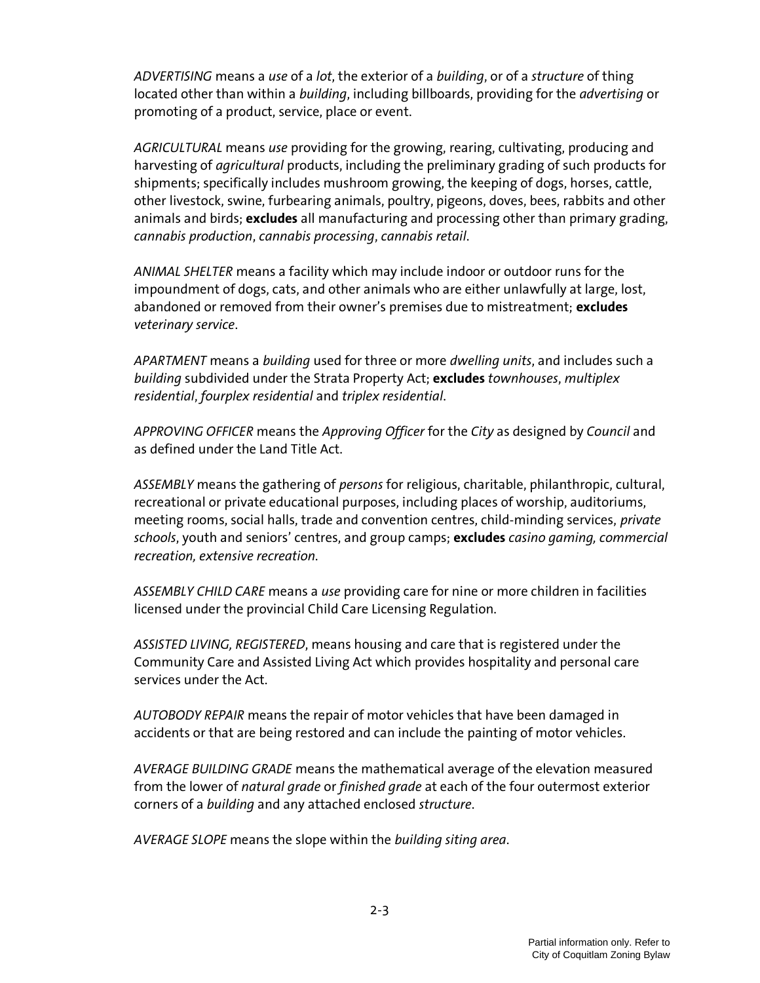ADVERTISING means a use of a lot, the exterior of a building, or of a structure of thing located other than within a *building*, including billboards, providing for the *advertising* or promoting of a product, service, place or event.

AGRICULTURAL means use providing for the growing, rearing, cultivating, producing and harvesting of *agricultural* products, including the preliminary grading of such products for shipments; specifically includes mushroom growing, the keeping of dogs, horses, cattle, other livestock, swine, furbearing animals, poultry, pigeons, doves, bees, rabbits and other animals and birds; excludes all manufacturing and processing other than primary grading, cannabis production, cannabis processing, cannabis retail.

ANIMAL SHELTER means a facility which may include indoor or outdoor runs for the impoundment of dogs, cats, and other animals who are either unlawfully at large, lost, abandoned or removed from their owner's premises due to mistreatment; excludes veterinary service.

APARTMENT means a building used for three or more dwelling units, and includes such a building subdivided under the Strata Property Act; excludes townhouses, multiplex residential, fourplex residential and triplex residential.

APPROVING OFFICER means the Approving Officer for the City as designed by Council and as defined under the Land Title Act.

ASSEMBLY means the gathering of persons for religious, charitable, philanthropic, cultural, recreational or private educational purposes, including places of worship, auditoriums, meeting rooms, social halls, trade and convention centres, child-minding services, private schools, youth and seniors' centres, and group camps; **excludes** casino gaming, commercial recreation, extensive recreation.

ASSEMBLY CHILD CARE means a use providing care for nine or more children in facilities licensed under the provincial Child Care Licensing Regulation.

ASSISTED LIVING, REGISTERED, means housing and care that is registered under the Community Care and Assisted Living Act which provides hospitality and personal care services under the Act.

AUTOBODY REPAIR means the repair of motor vehicles that have been damaged in accidents or that are being restored and can include the painting of motor vehicles.

AVERAGE BUILDING GRADE means the mathematical average of the elevation measured from the lower of natural grade or finished grade at each of the four outermost exterior corners of a building and any attached enclosed structure.

AVERAGE SLOPE means the slope within the building siting area.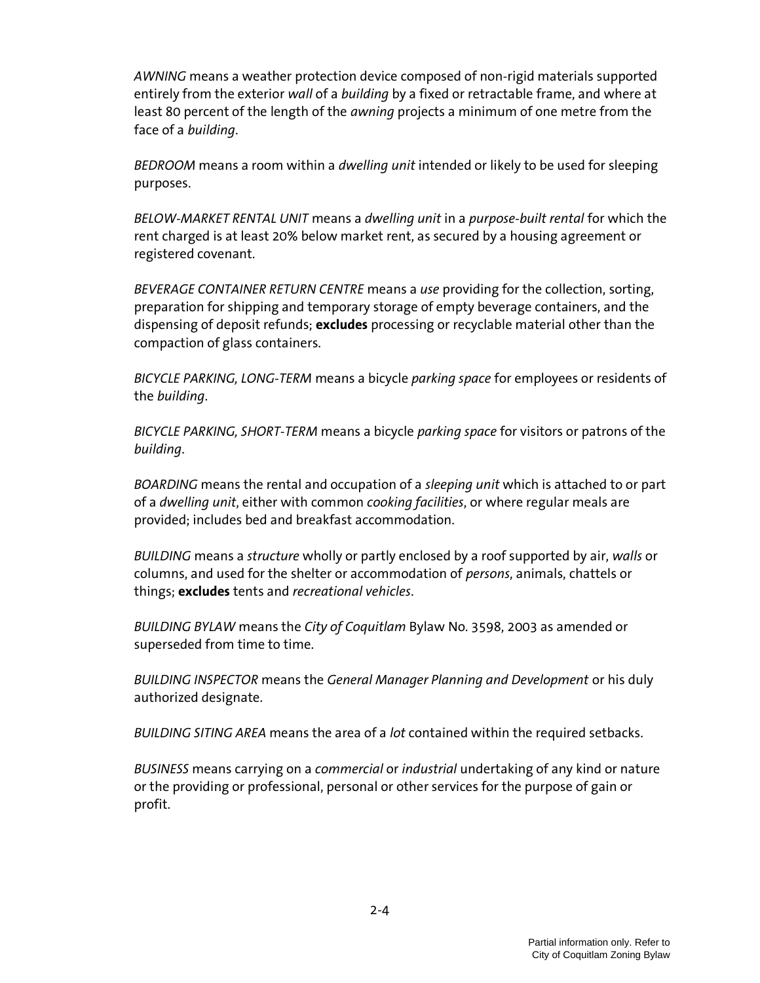AWNING means a weather protection device composed of non-rigid materials supported entirely from the exterior wall of a building by a fixed or retractable frame, and where at least 80 percent of the length of the awning projects a minimum of one metre from the face of a building.

BEDROOM means a room within a dwelling unit intended or likely to be used for sleeping purposes.

BELOW-MARKET RENTAL UNIT means a dwelling unit in a purpose-built rental for which the rent charged is at least 20% below market rent, as secured by a housing agreement or registered covenant.

BEVERAGE CONTAINER RETURN CENTRE means a use providing for the collection, sorting, preparation for shipping and temporary storage of empty beverage containers, and the dispensing of deposit refunds; **excludes** processing or recyclable material other than the compaction of glass containers.

BICYCLE PARKING, LONG-TERM means a bicycle parking space for employees or residents of the building.

BICYCLE PARKING, SHORT-TERM means a bicycle parking space for visitors or patrons of the building.

BOARDING means the rental and occupation of a *sleeping unit* which is attached to or part of a *dwelling unit*, either with common *cooking facilities*, or where regular meals are provided; includes bed and breakfast accommodation.

BUILDING means a structure wholly or partly enclosed by a roof supported by air, walls or columns, and used for the shelter or accommodation of persons, animals, chattels or things; excludes tents and recreational vehicles.

BUILDING BYLAW means the City of Coquitlam Bylaw No. 3598, 2003 as amended or superseded from time to time.

BUILDING INSPECTOR means the General Manager Planning and Development or his duly authorized designate.

BUILDING SITING AREA means the area of a lot contained within the required setbacks.

BUSINESS means carrying on a *commercial* or *industrial* undertaking of any kind or nature or the providing or professional, personal or other services for the purpose of gain or profit.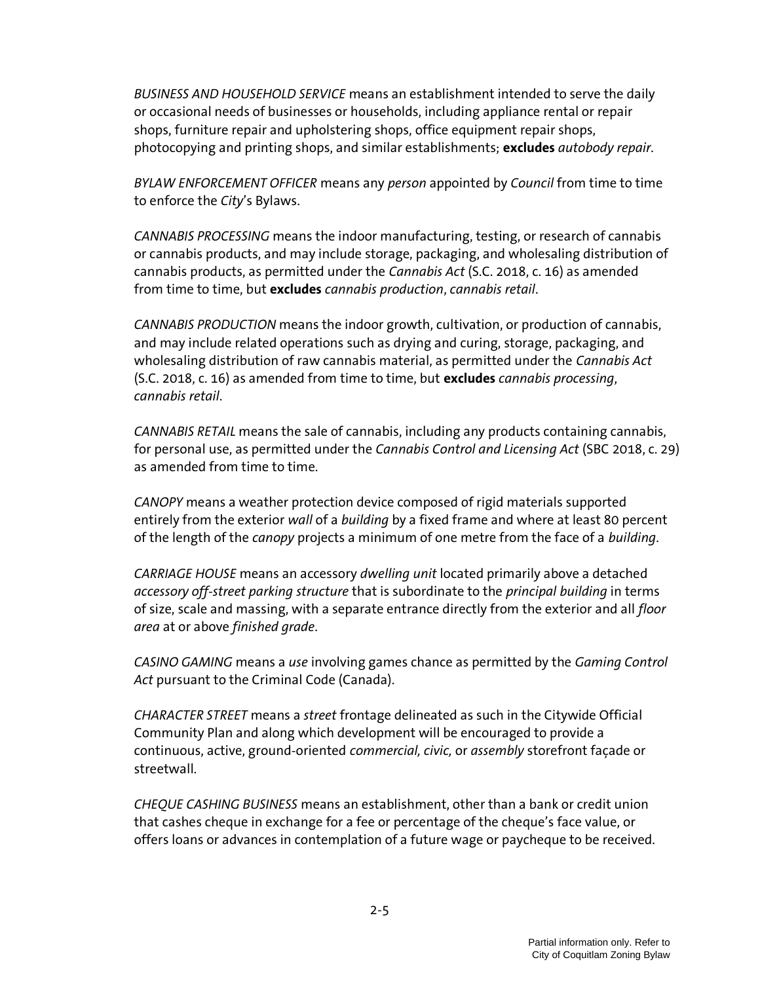BUSINESS AND HOUSEHOLD SERVICE means an establishment intended to serve the daily or occasional needs of businesses or households, including appliance rental or repair shops, furniture repair and upholstering shops, office equipment repair shops, photocopying and printing shops, and similar establishments; excludes *autobody repair.* 

BYLAW ENFORCEMENT OFFICER means any person appointed by Council from time to time to enforce the City's Bylaws.

CANNABIS PROCESSING means the indoor manufacturing, testing, or research of cannabis or cannabis products, and may include storage, packaging, and wholesaling distribution of cannabis products, as permitted under the Cannabis Act (S.C. 2018, c. 16) as amended from time to time, but excludes cannabis production, cannabis retail.

CANNABIS PRODUCTION means the indoor growth, cultivation, or production of cannabis, and may include related operations such as drying and curing, storage, packaging, and wholesaling distribution of raw cannabis material, as permitted under the *Cannabis Act* (S.C. 2018, c. 16) as amended from time to time, but excludes cannabis processing, cannabis retail.

CANNABIS RETAIL means the sale of cannabis, including any products containing cannabis, for personal use, as permitted under the Cannabis Control and Licensing Act (SBC 2018, c. 29) as amended from time to time.

CANOPY means a weather protection device composed of rigid materials supported entirely from the exterior wall of a building by a fixed frame and where at least 80 percent of the length of the *canopy* projects a minimum of one metre from the face of a *building*.

CARRIAGE HOUSE means an accessory dwelling unit located primarily above a detached accessory off-street parking structure that is subordinate to the principal building in terms of size, scale and massing, with a separate entrance directly from the exterior and all *floor* area at or above finished grade.

CASINO GAMING means a use involving games chance as permitted by the Gaming Control Act pursuant to the Criminal Code (Canada).

CHARACTER STREET means a street frontage delineated as such in the Citywide Official Community Plan and along which development will be encouraged to provide a continuous, active, ground-oriented commercial, civic, or assembly storefront façade or streetwall.

CHEQUE CASHING BUSINESS means an establishment, other than a bank or credit union that cashes cheque in exchange for a fee or percentage of the cheque's face value, or offers loans or advances in contemplation of a future wage or paycheque to be received.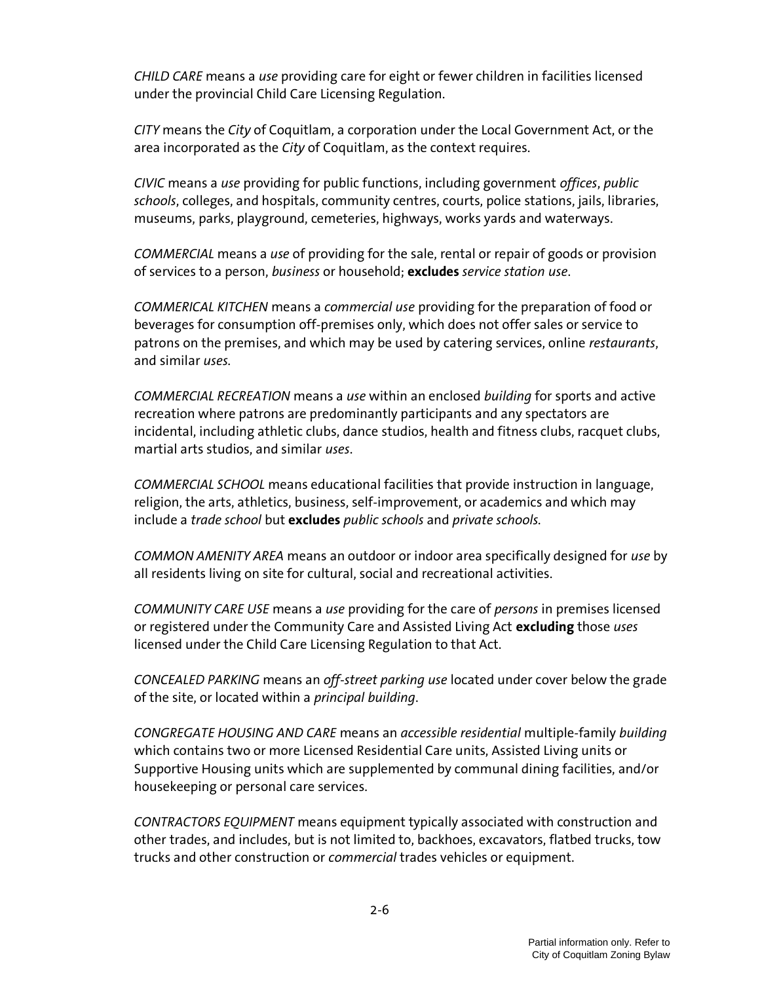CHILD CARE means a use providing care for eight or fewer children in facilities licensed under the provincial Child Care Licensing Regulation.

CITY means the City of Coquitlam, a corporation under the Local Government Act, or the area incorporated as the City of Coquitlam, as the context requires.

CIVIC means a use providing for public functions, including government offices, public schools, colleges, and hospitals, community centres, courts, police stations, jails, libraries, museums, parks, playground, cemeteries, highways, works yards and waterways.

COMMERCIAL means a use of providing for the sale, rental or repair of goods or provision of services to a person, business or household; excludes service station use.

COMMERICAL KITCHEN means a commercial use providing for the preparation of food or beverages for consumption off-premises only, which does not offer sales or service to patrons on the premises, and which may be used by catering services, online restaurants, and similar uses.

COMMERCIAL RECREATION means a use within an enclosed building for sports and active recreation where patrons are predominantly participants and any spectators are incidental, including athletic clubs, dance studios, health and fitness clubs, racquet clubs, martial arts studios, and similar uses.

COMMERCIAL SCHOOL means educational facilities that provide instruction in language, religion, the arts, athletics, business, self-improvement, or academics and which may include a trade school but excludes public schools and private schools.

COMMON AMENITY AREA means an outdoor or indoor area specifically designed for use by all residents living on site for cultural, social and recreational activities.

COMMUNITY CARE USE means a use providing for the care of persons in premises licensed or registered under the Community Care and Assisted Living Act excluding those uses licensed under the Child Care Licensing Regulation to that Act.

CONCEALED PARKING means an off-street parking use located under cover below the grade of the site, or located within a principal building.

CONGREGATE HOUSING AND CARE means an accessible residential multiple-family building which contains two or more Licensed Residential Care units, Assisted Living units or Supportive Housing units which are supplemented by communal dining facilities, and/or housekeeping or personal care services.

CONTRACTORS EQUIPMENT means equipment typically associated with construction and other trades, and includes, but is not limited to, backhoes, excavators, flatbed trucks, tow trucks and other construction or *commercial* trades vehicles or equipment.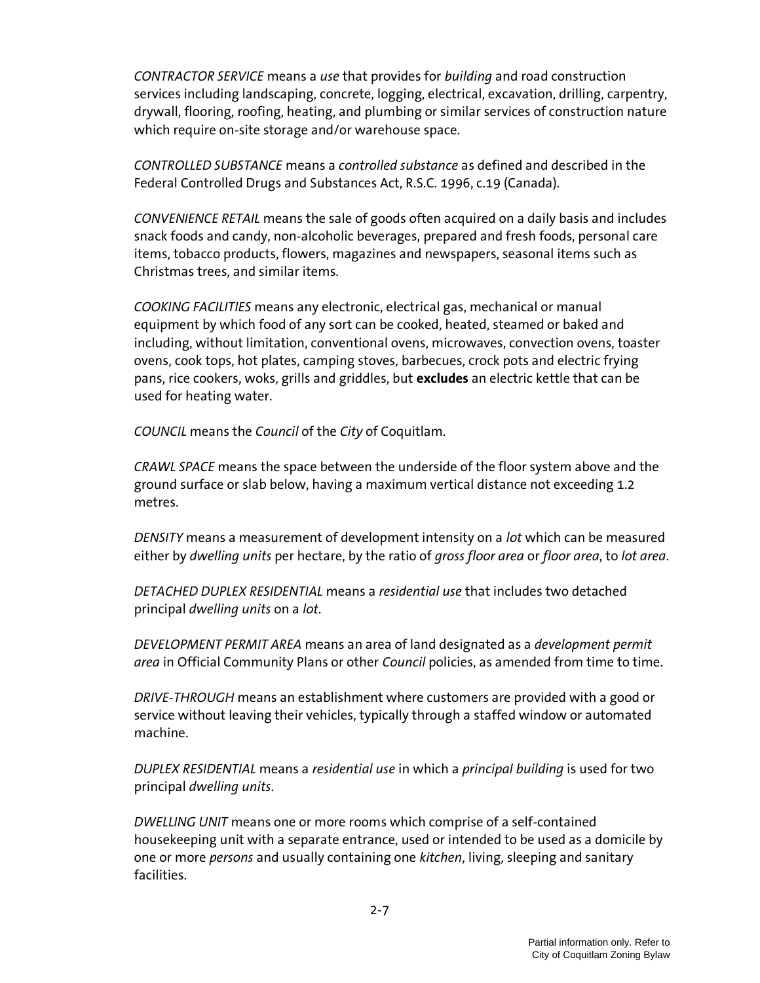CONTRACTOR SERVICE means a use that provides for building and road construction services including landscaping, concrete, logging, electrical, excavation, drilling, carpentry, drywall, flooring, roofing, heating, and plumbing or similar services of construction nature which require on-site storage and/or warehouse space.

CONTROLLED SUBSTANCE means a controlled substance as defined and described in the Federal Controlled Drugs and Substances Act, R.S.C. 1996, c.19 (Canada).

CONVENIENCE RETAIL means the sale of goods often acquired on a daily basis and includes snack foods and candy, non-alcoholic beverages, prepared and fresh foods, personal care items, tobacco products, flowers, magazines and newspapers, seasonal items such as Christmas trees, and similar items.

COOKING FACILITIES means any electronic, electrical gas, mechanical or manual equipment by which food of any sort can be cooked, heated, steamed or baked and including, without limitation, conventional ovens, microwaves, convection ovens, toaster ovens, cook tops, hot plates, camping stoves, barbecues, crock pots and electric frying pans, rice cookers, woks, grills and griddles, but excludes an electric kettle that can be used for heating water.

COUNCIL means the Council of the City of Coquitlam.

CRAWL SPACE means the space between the underside of the floor system above and the ground surface or slab below, having a maximum vertical distance not exceeding 1.2 metres.

DENSITY means a measurement of development intensity on a lot which can be measured either by dwelling units per hectare, by the ratio of gross floor area or floor area, to lot area.

DETACHED DUPLEX RESIDENTIAL means a residential use that includes two detached principal dwelling units on a lot.

DEVELOPMENT PERMIT AREA means an area of land designated as a development permit area in Official Community Plans or other Council policies, as amended from time to time.

DRIVE-THROUGH means an establishment where customers are provided with a good or service without leaving their vehicles, typically through a staffed window or automated machine.

DUPLEX RESIDENTIAL means a residential use in which a principal building is used for two principal dwelling units.

DWELLING UNIT means one or more rooms which comprise of a self-contained housekeeping unit with a separate entrance, used or intended to be used as a domicile by one or more *persons* and usually containing one kitchen, living, sleeping and sanitary facilities.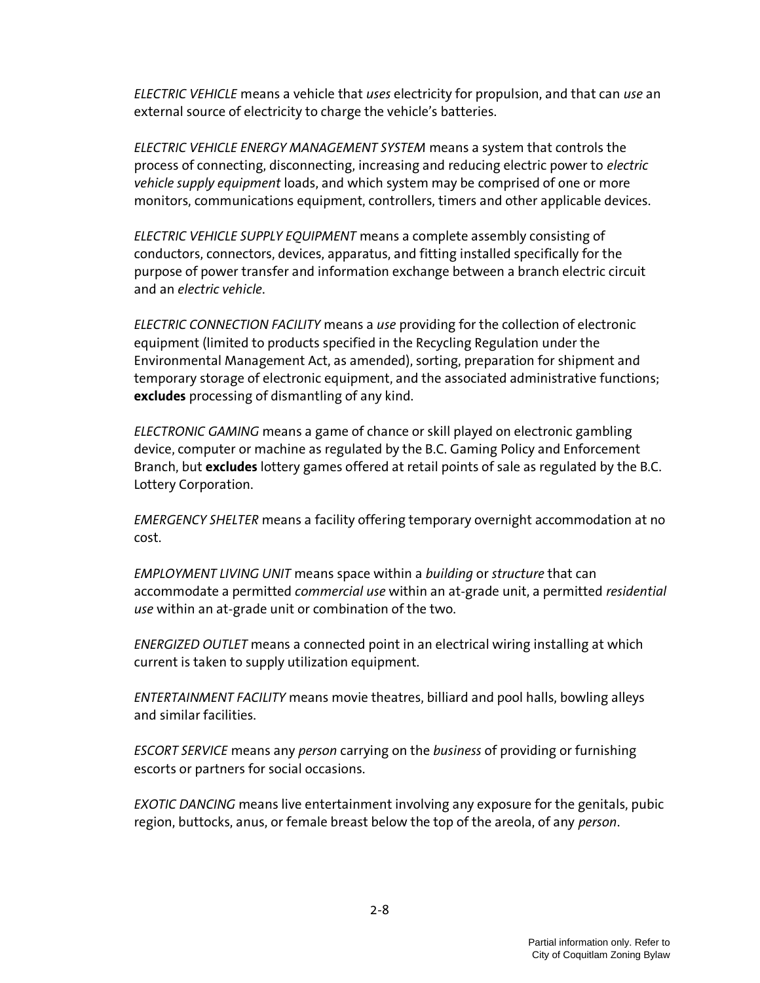ELECTRIC VEHICLE means a vehicle that uses electricity for propulsion, and that can use an external source of electricity to charge the vehicle's batteries.

ELECTRIC VEHICLE ENERGY MANAGEMENT SYSTEM means a system that controls the process of connecting, disconnecting, increasing and reducing electric power to electric vehicle supply equipment loads, and which system may be comprised of one or more monitors, communications equipment, controllers, timers and other applicable devices.

ELECTRIC VEHICLE SUPPLY EQUIPMENT means a complete assembly consisting of conductors, connectors, devices, apparatus, and fitting installed specifically for the purpose of power transfer and information exchange between a branch electric circuit and an electric vehicle.

ELECTRIC CONNECTION FACILITY means a use providing for the collection of electronic equipment (limited to products specified in the Recycling Regulation under the Environmental Management Act, as amended), sorting, preparation for shipment and temporary storage of electronic equipment, and the associated administrative functions; excludes processing of dismantling of any kind.

ELECTRONIC GAMING means a game of chance or skill played on electronic gambling device, computer or machine as regulated by the B.C. Gaming Policy and Enforcement Branch, but excludes lottery games offered at retail points of sale as regulated by the B.C. Lottery Corporation.

EMERGENCY SHELTER means a facility offering temporary overnight accommodation at no cost.

EMPLOYMENT LIVING UNIT means space within a building or structure that can accommodate a permitted commercial use within an at-grade unit, a permitted residential use within an at-grade unit or combination of the two.

ENERGIZED OUTLET means a connected point in an electrical wiring installing at which current is taken to supply utilization equipment.

ENTERTAINMENT FACILITY means movie theatres, billiard and pool halls, bowling alleys and similar facilities.

ESCORT SERVICE means any person carrying on the business of providing or furnishing escorts or partners for social occasions.

EXOTIC DANCING means live entertainment involving any exposure for the genitals, pubic region, buttocks, anus, or female breast below the top of the areola, of any person.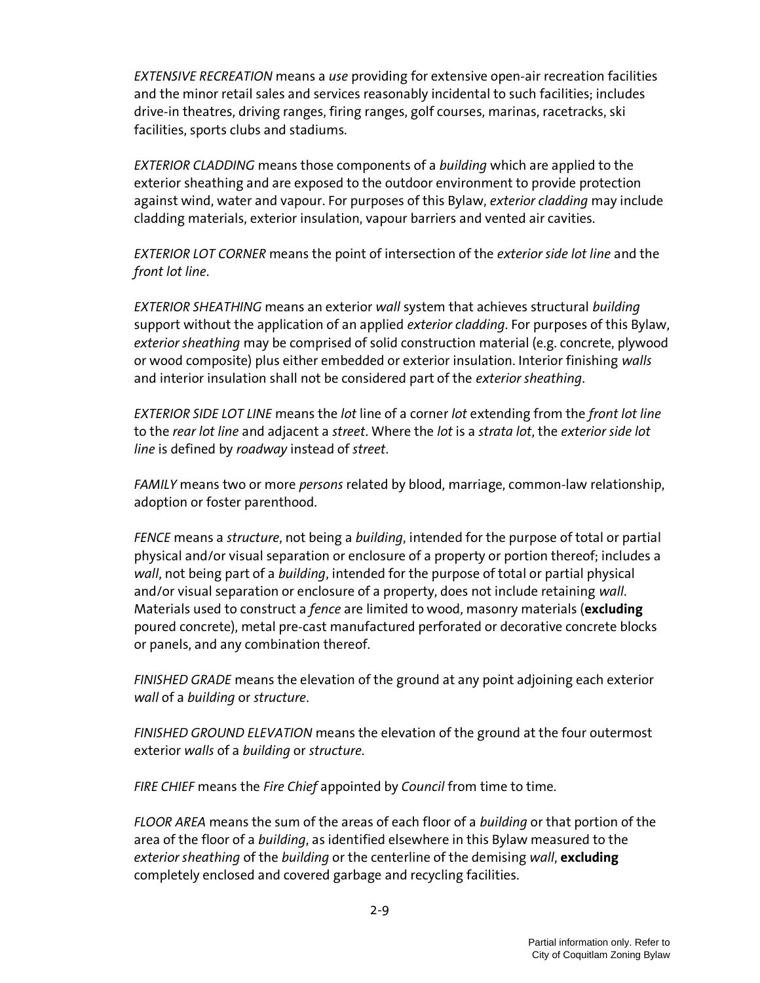EXTENSIVE RECREATION means a use providing for extensive open-air recreation facilities and the minor retail sales and services reasonably incidental to such facilities; includes drive-in theatres, driving ranges, firing ranges, golf courses, marinas, racetracks, ski facilities, sports clubs and stadiums.

EXTERIOR CLADDING means those components of a building which are applied to the exterior sheathing and are exposed to the outdoor environment to provide protection against wind, water and vapour. For purposes of this Bylaw, exterior cladding may include cladding materials, exterior insulation, vapour barriers and vented air cavities.

EXTERIOR LOT CORNER means the point of intersection of the exterior side lot line and the front lot line.

EXTERIOR SHEATHING means an exterior wall system that achieves structural building support without the application of an applied exterior cladding. For purposes of this Bylaw, exterior sheathing may be comprised of solid construction material (e.g. concrete, plywood or wood composite) plus either embedded or exterior insulation. Interior finishing walls and interior insulation shall not be considered part of the exterior sheathing.

EXTERIOR SIDE LOT LINE means the lot line of a corner lot extending from the front lot line to the rear lot line and adjacent a street. Where the lot is a strata lot, the exterior side lot line is defined by roadway instead of street.

FAMILY means two or more *persons* related by blood, marriage, common-law relationship, adoption or foster parenthood.

FENCE means a structure, not being a building, intended for the purpose of total or partial physical and/or visual separation or enclosure of a property or portion thereof; includes a wall, not being part of a building, intended for the purpose of total or partial physical and/or visual separation or enclosure of a property, does not include retaining wall. Materials used to construct a *fence* are limited to wood, masonry materials (excluding poured concrete), metal pre-cast manufactured perforated or decorative concrete blocks or panels, and any combination thereof.

FINISHED GRADE means the elevation of the ground at any point adjoining each exterior wall of a building or structure.

FINISHED GROUND ELEVATION means the elevation of the ground at the four outermost exterior walls of a building or structure.

FIRE CHIEF means the Fire Chief appointed by Council from time to time.

FLOOR AREA means the sum of the areas of each floor of a building or that portion of the area of the floor of a building, as identified elsewhere in this Bylaw measured to the exterior sheathing of the building or the centerline of the demising wall, excluding completely enclosed and covered garbage and recycling facilities.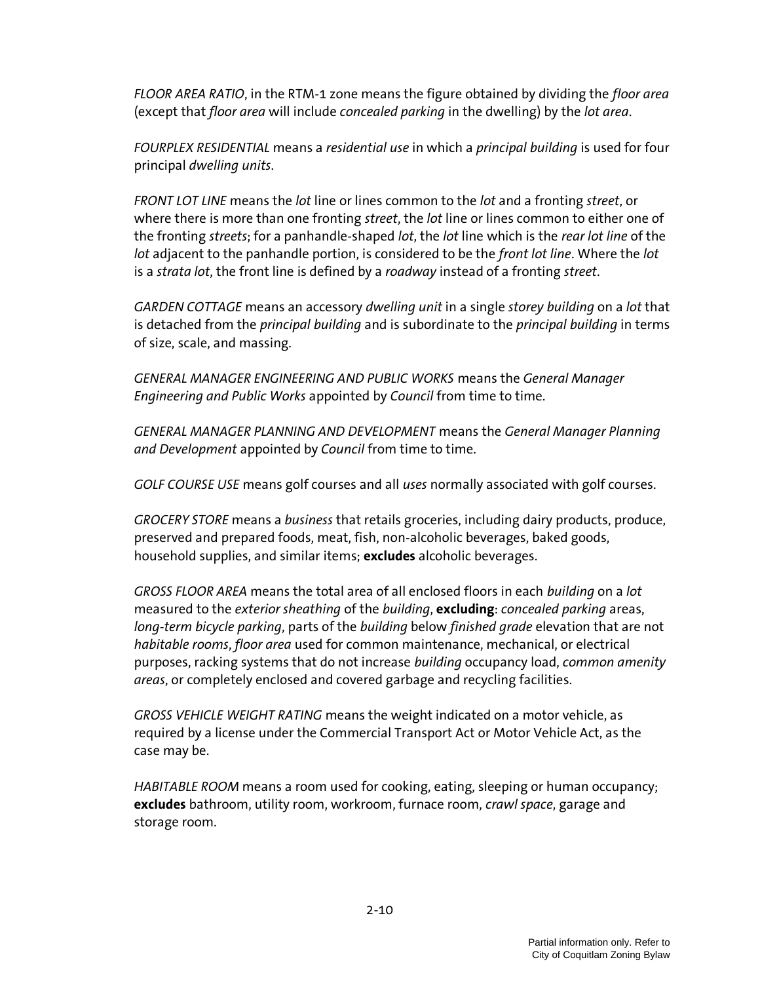FLOOR AREA RATIO, in the RTM-1 zone means the figure obtained by dividing the floor area (except that floor area will include concealed parking in the dwelling) by the lot area.

FOURPLEX RESIDENTIAL means a residential use in which a principal building is used for four principal dwelling units.

FRONT LOT LINE means the lot line or lines common to the lot and a fronting street, or where there is more than one fronting *street*, the *lot* line or lines common to either one of the fronting streets; for a panhandle-shaped lot, the lot line which is the rear lot line of the lot adjacent to the panhandle portion, is considered to be the front lot line. Where the lot is a strata lot, the front line is defined by a roadway instead of a fronting street.

GARDEN COTTAGE means an accessory dwelling unit in a single storey building on a lot that is detached from the *principal building* and is subordinate to the *principal building* in terms of size, scale, and massing.

GENERAL MANAGER ENGINEERING AND PUBLIC WORKS means the General Manager Engineering and Public Works appointed by Council from time to time.

GENERAL MANAGER PLANNING AND DEVELOPMENT means the General Manager Planning and Development appointed by Council from time to time.

GOLF COURSE USE means golf courses and all uses normally associated with golf courses.

GROCERY STORE means a business that retails groceries, including dairy products, produce, preserved and prepared foods, meat, fish, non-alcoholic beverages, baked goods, household supplies, and similar items; excludes alcoholic beverages.

GROSS FLOOR AREA means the total area of all enclosed floors in each building on a lot measured to the exterior sheathing of the building, excluding: concealed parking areas, long-term bicycle parking, parts of the building below finished grade elevation that are not habitable rooms, floor area used for common maintenance, mechanical, or electrical purposes, racking systems that do not increase building occupancy load, common amenity areas, or completely enclosed and covered garbage and recycling facilities.

GROSS VEHICLE WEIGHT RATING means the weight indicated on a motor vehicle, as required by a license under the Commercial Transport Act or Motor Vehicle Act, as the case may be.

HABITABLE ROOM means a room used for cooking, eating, sleeping or human occupancy; excludes bathroom, utility room, workroom, furnace room, *crawl space*, garage and storage room.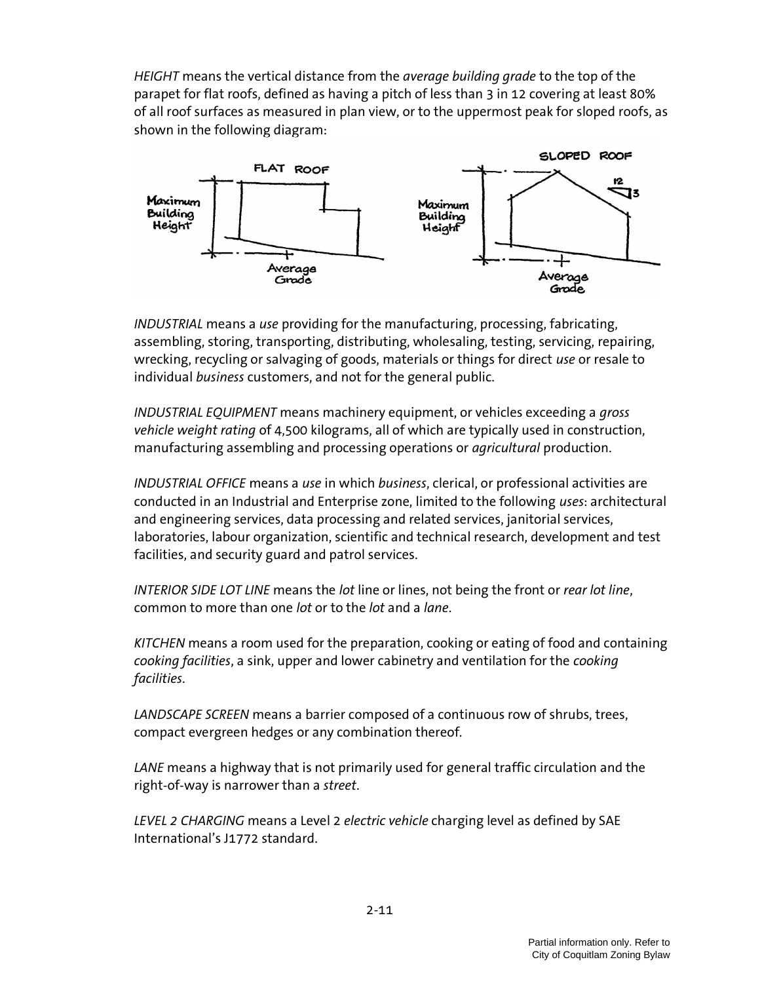HEIGHT means the vertical distance from the *average building grade* to the top of the parapet for flat roofs, defined as having a pitch of less than 3 in 12 covering at least 80% of all roof surfaces as measured in plan view, or to the uppermost peak for sloped roofs, as shown in the following diagram:



INDUSTRIAL means a use providing for the manufacturing, processing, fabricating, assembling, storing, transporting, distributing, wholesaling, testing, servicing, repairing, wrecking, recycling or salvaging of goods, materials or things for direct use or resale to individual business customers, and not for the general public.

INDUSTRIAL EQUIPMENT means machinery equipment, or vehicles exceeding a gross vehicle weight rating of 4,500 kilograms, all of which are typically used in construction, manufacturing assembling and processing operations or *agricultural* production.

INDUSTRIAL OFFICE means a use in which business, clerical, or professional activities are conducted in an Industrial and Enterprise zone, limited to the following uses: architectural and engineering services, data processing and related services, janitorial services, laboratories, labour organization, scientific and technical research, development and test facilities, and security guard and patrol services.

INTERIOR SIDE LOT LINE means the lot line or lines, not being the front or rear lot line, common to more than one lot or to the lot and a lane.

KITCHEN means a room used for the preparation, cooking or eating of food and containing cooking facilities, a sink, upper and lower cabinetry and ventilation for the cooking facilities.

LANDSCAPE SCREEN means a barrier composed of a continuous row of shrubs, trees, compact evergreen hedges or any combination thereof.

LANE means a highway that is not primarily used for general traffic circulation and the right-of-way is narrower than a street.

LEVEL 2 CHARGING means a Level 2 electric vehicle charging level as defined by SAE International's J1772 standard.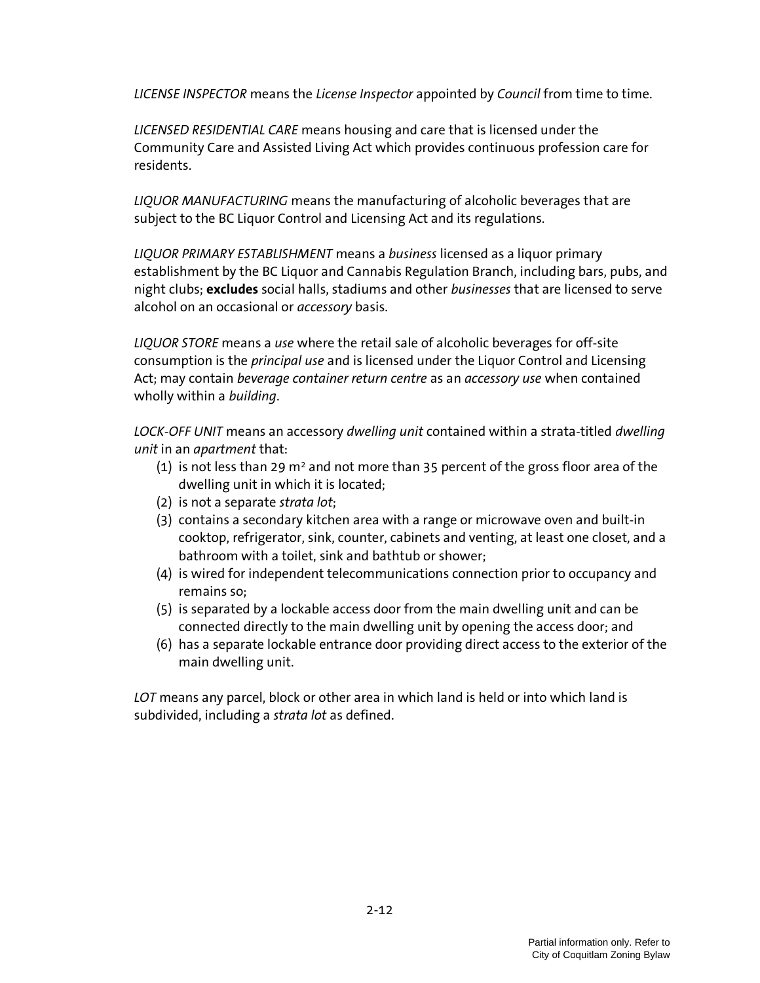LICENSE INSPECTOR means the License Inspector appointed by Council from time to time.

LICENSED RESIDENTIAL CARE means housing and care that is licensed under the Community Care and Assisted Living Act which provides continuous profession care for residents.

LIQUOR MANUFACTURING means the manufacturing of alcoholic beverages that are subject to the BC Liquor Control and Licensing Act and its regulations.

LIQUOR PRIMARY ESTABLISHMENT means a business licensed as a liquor primary establishment by the BC Liquor and Cannabis Regulation Branch, including bars, pubs, and night clubs; excludes social halls, stadiums and other businesses that are licensed to serve alcohol on an occasional or *accessory* basis.

LIQUOR STORE means a use where the retail sale of alcoholic beverages for off-site consumption is the *principal use* and is licensed under the Liquor Control and Licensing Act; may contain beverage container return centre as an accessory use when contained wholly within a building.

LOCK-OFF UNIT means an accessory dwelling unit contained within a strata-titled dwelling unit in an apartment that:

- (1) is not less than 29 m<sup>2</sup> and not more than 35 percent of the gross floor area of the dwelling unit in which it is located;
- (2) is not a separate strata lot;
- (3) contains a secondary kitchen area with a range or microwave oven and built-in cooktop, refrigerator, sink, counter, cabinets and venting, at least one closet, and a bathroom with a toilet, sink and bathtub or shower;
- (4) is wired for independent telecommunications connection prior to occupancy and remains so;
- (5) is separated by a lockable access door from the main dwelling unit and can be connected directly to the main dwelling unit by opening the access door; and
- (6) has a separate lockable entrance door providing direct access to the exterior of the main dwelling unit.

LOT means any parcel, block or other area in which land is held or into which land is subdivided, including a strata lot as defined.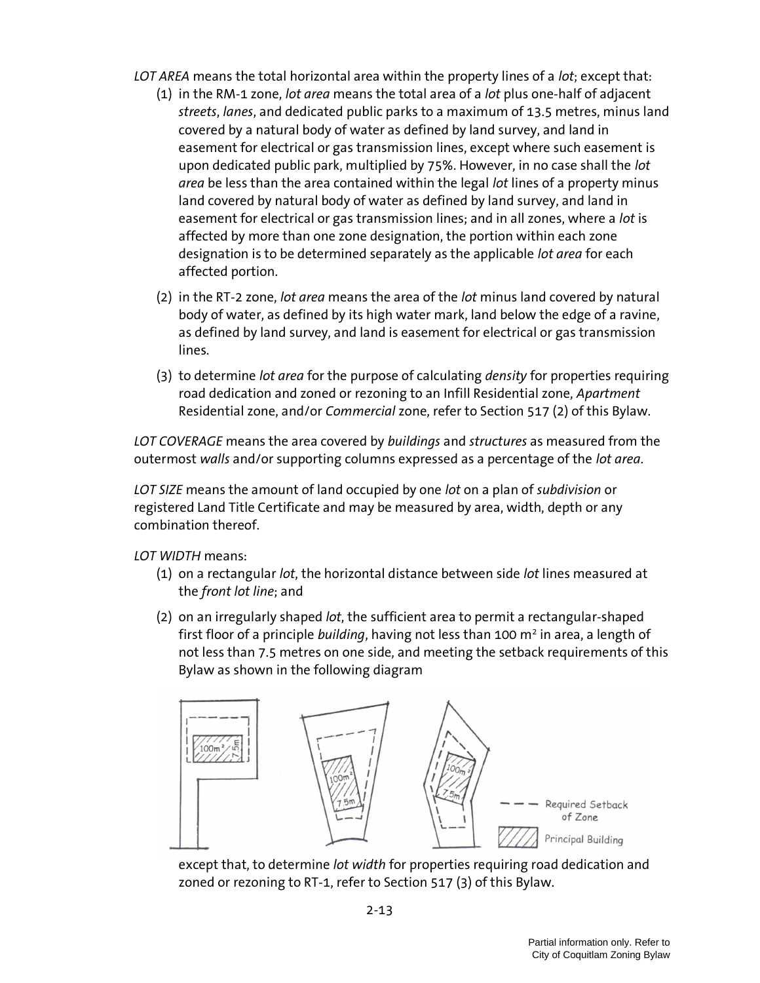- LOT AREA means the total horizontal area within the property lines of a lot; except that:
	- (1) in the RM-1 zone, *lot area* means the total area of a *lot* plus one-half of adjacent streets, lanes, and dedicated public parks to a maximum of 13.5 metres, minus land covered by a natural body of water as defined by land survey, and land in easement for electrical or gas transmission lines, except where such easement is upon dedicated public park, multiplied by 75%. However, in no case shall the lot area be less than the area contained within the legal lot lines of a property minus land covered by natural body of water as defined by land survey, and land in easement for electrical or gas transmission lines; and in all zones, where a lot is affected by more than one zone designation, the portion within each zone designation is to be determined separately as the applicable lot area for each affected portion.
	- (2) in the RT-2 zone, lot area means the area of the lot minus land covered by natural body of water, as defined by its high water mark, land below the edge of a ravine, as defined by land survey, and land is easement for electrical or gas transmission lines.
	- (3) to determine lot area for the purpose of calculating density for properties requiring road dedication and zoned or rezoning to an Infill Residential zone, Apartment Residential zone, and/or Commercial zone, refer to Section 517 (2) of this Bylaw.

LOT COVERAGE means the area covered by buildings and structures as measured from the outermost walls and/or supporting columns expressed as a percentage of the lot area.

LOT SIZE means the amount of land occupied by one lot on a plan of subdivision or registered Land Title Certificate and may be measured by area, width, depth or any combination thereof.

LOT WIDTH means:

- (1) on a rectangular lot, the horizontal distance between side lot lines measured at the front lot line; and
- (2) on an irregularly shaped lot, the sufficient area to permit a rectangular-shaped first floor of a principle *building*, having not less than 100 m<sup>2</sup> in area, a length of not less than 7.5 metres on one side, and meeting the setback requirements of this Bylaw as shown in the following diagram



except that, to determine lot width for properties requiring road dedication and zoned or rezoning to RT-1, refer to Section 517 (3) of this Bylaw.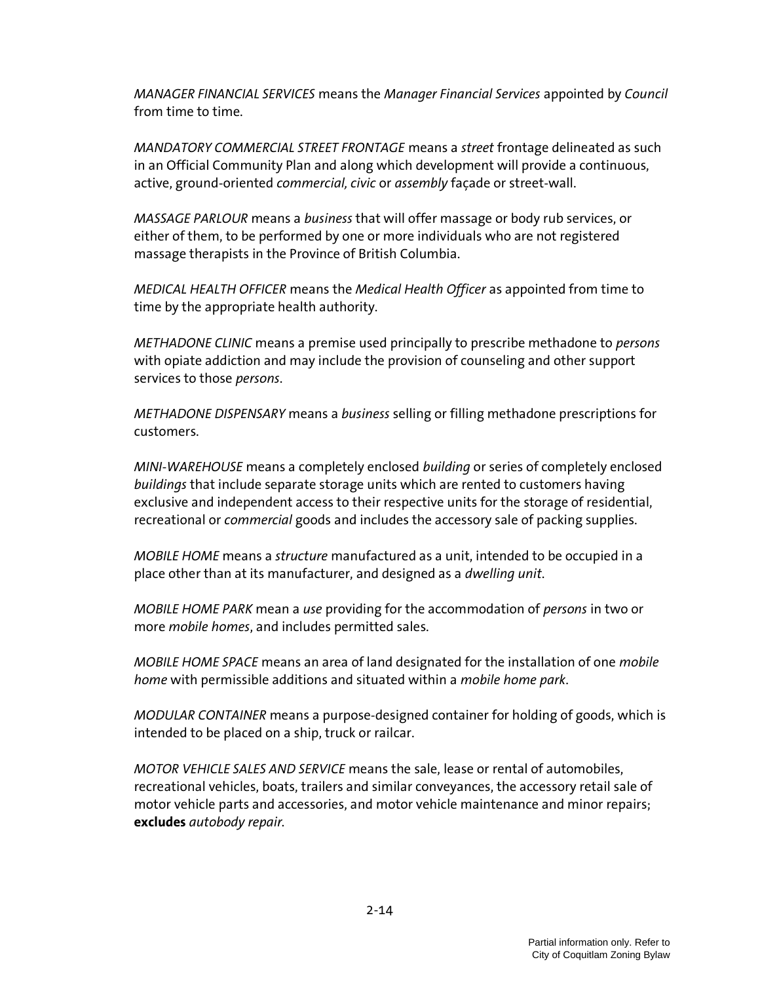MANAGER FINANCIAL SERVICES means the Manager Financial Services appointed by Council from time to time.

MANDATORY COMMERCIAL STREET FRONTAGE means a street frontage delineated as such in an Official Community Plan and along which development will provide a continuous, active, ground-oriented commercial, civic or assembly façade or street-wall.

MASSAGE PARLOUR means a business that will offer massage or body rub services, or either of them, to be performed by one or more individuals who are not registered massage therapists in the Province of British Columbia.

MEDICAL HEALTH OFFICER means the Medical Health Officer as appointed from time to time by the appropriate health authority.

METHADONE CLINIC means a premise used principally to prescribe methadone to persons with opiate addiction and may include the provision of counseling and other support services to those *persons*.

METHADONE DISPENSARY means a business selling or filling methadone prescriptions for customers.

MINI-WAREHOUSE means a completely enclosed building or series of completely enclosed buildings that include separate storage units which are rented to customers having exclusive and independent access to their respective units for the storage of residential, recreational or commercial goods and includes the accessory sale of packing supplies.

MOBILE HOME means a structure manufactured as a unit, intended to be occupied in a place other than at its manufacturer, and designed as a dwelling unit.

MOBILE HOME PARK mean a use providing for the accommodation of persons in two or more mobile homes, and includes permitted sales.

MOBILE HOME SPACE means an area of land designated for the installation of one mobile home with permissible additions and situated within a mobile home park.

MODULAR CONTAINER means a purpose-designed container for holding of goods, which is intended to be placed on a ship, truck or railcar.

MOTOR VEHICLE SALES AND SERVICE means the sale, lease or rental of automobiles, recreational vehicles, boats, trailers and similar conveyances, the accessory retail sale of motor vehicle parts and accessories, and motor vehicle maintenance and minor repairs; excludes autobody repair.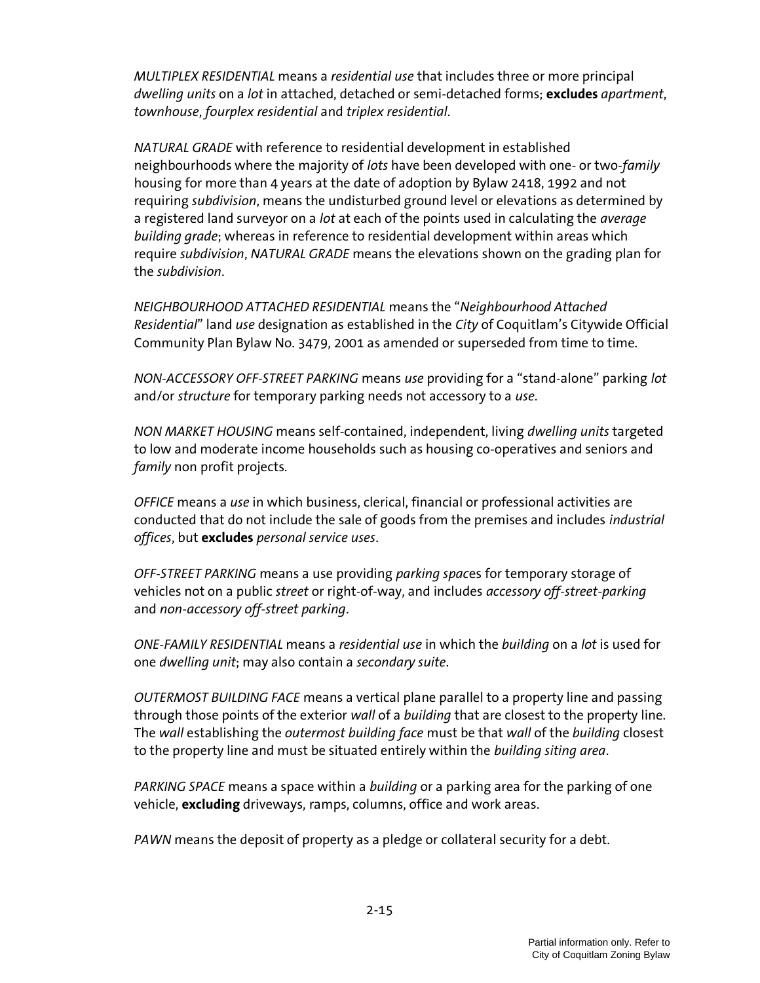MULTIPLEX RESIDENTIAL means a residential use that includes three or more principal dwelling units on a lot in attached, detached or semi-detached forms; excludes apartment, townhouse, fourplex residential and triplex residential.

NATURAL GRADE with reference to residential development in established neighbourhoods where the majority of lots have been developed with one- or two-family housing for more than 4 years at the date of adoption by Bylaw 2418, 1992 and not requiring subdivision, means the undisturbed ground level or elevations as determined by a registered land surveyor on a lot at each of the points used in calculating the average building grade; whereas in reference to residential development within areas which require subdivision, NATURAL GRADE means the elevations shown on the grading plan for the subdivision.

NEIGHBOURHOOD ATTACHED RESIDENTIAL means the "Neighbourhood Attached Residential" land use designation as established in the City of Coquitlam's Citywide Official Community Plan Bylaw No. 3479, 2001 as amended or superseded from time to time.

NON-ACCESSORY OFF-STREET PARKING means use providing for a "stand-alone" parking lot and/or structure for temporary parking needs not accessory to a use.

NON MARKET HOUSING means self-contained, independent, living dwelling units targeted to low and moderate income households such as housing co-operatives and seniors and family non profit projects.

OFFICE means a use in which business, clerical, financial or professional activities are conducted that do not include the sale of goods from the premises and includes industrial offices, but excludes personal service uses.

OFF-STREET PARKING means a use providing parking spaces for temporary storage of vehicles not on a public street or right-of-way, and includes *accessory off-street-parking* and non-accessory off-street parking.

ONE-FAMILY RESIDENTIAL means a residential use in which the building on a lot is used for one dwelling unit; may also contain a secondary suite.

OUTERMOST BUILDING FACE means a vertical plane parallel to a property line and passing through those points of the exterior wall of a building that are closest to the property line. The wall establishing the outermost building face must be that wall of the building closest to the property line and must be situated entirely within the building siting area.

PARKING SPACE means a space within a building or a parking area for the parking of one vehicle, **excluding** driveways, ramps, columns, office and work areas.

PAWN means the deposit of property as a pledge or collateral security for a debt.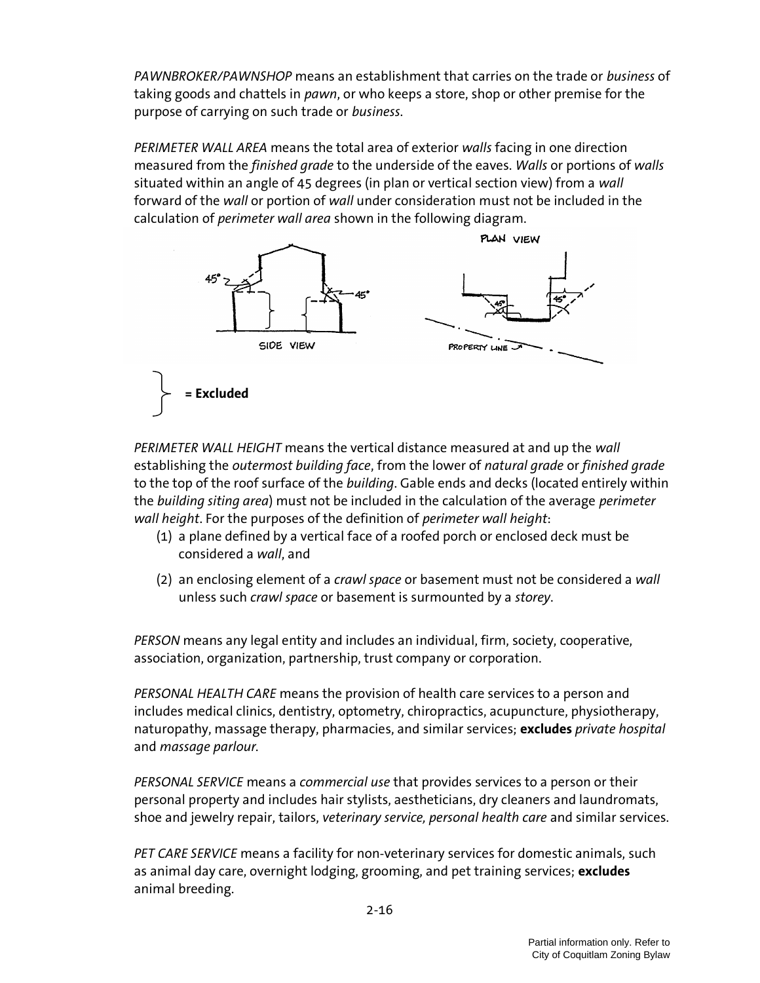PAWNBROKER/PAWNSHOP means an establishment that carries on the trade or business of taking goods and chattels in *pawn*, or who keeps a store, shop or other premise for the purpose of carrying on such trade or business.

PERIMETER WALL AREA means the total area of exterior walls facing in one direction measured from the *finished grade* to the underside of the eaves. Walls or portions of walls situated within an angle of 45 degrees (in plan or vertical section view) from a wall forward of the wall or portion of wall under consideration must not be included in the calculation of *perimeter wall area* shown in the following diagram.



PERIMETER WALL HEIGHT means the vertical distance measured at and up the wall establishing the outermost building face, from the lower of natural grade or finished grade to the top of the roof surface of the *building*. Gable ends and decks (located entirely within the building siting area) must not be included in the calculation of the average perimeter wall height. For the purposes of the definition of perimeter wall height:

- (1) a plane defined by a vertical face of a roofed porch or enclosed deck must be considered a wall, and
- (2) an enclosing element of a *crawl space* or basement must not be considered a wall unless such *crawl space* or basement is surmounted by a storey.

PERSON means any legal entity and includes an individual, firm, society, cooperative, association, organization, partnership, trust company or corporation.

PERSONAL HEALTH CARE means the provision of health care services to a person and includes medical clinics, dentistry, optometry, chiropractics, acupuncture, physiotherapy, naturopathy, massage therapy, pharmacies, and similar services; excludes private hospital and massage parlour.

PERSONAL SERVICE means a commercial use that provides services to a person or their personal property and includes hair stylists, aestheticians, dry cleaners and laundromats, shoe and jewelry repair, tailors, veterinary service, personal health care and similar services.

PET CARE SERVICE means a facility for non-veterinary services for domestic animals, such as animal day care, overnight lodging, grooming, and pet training services; excludes animal breeding.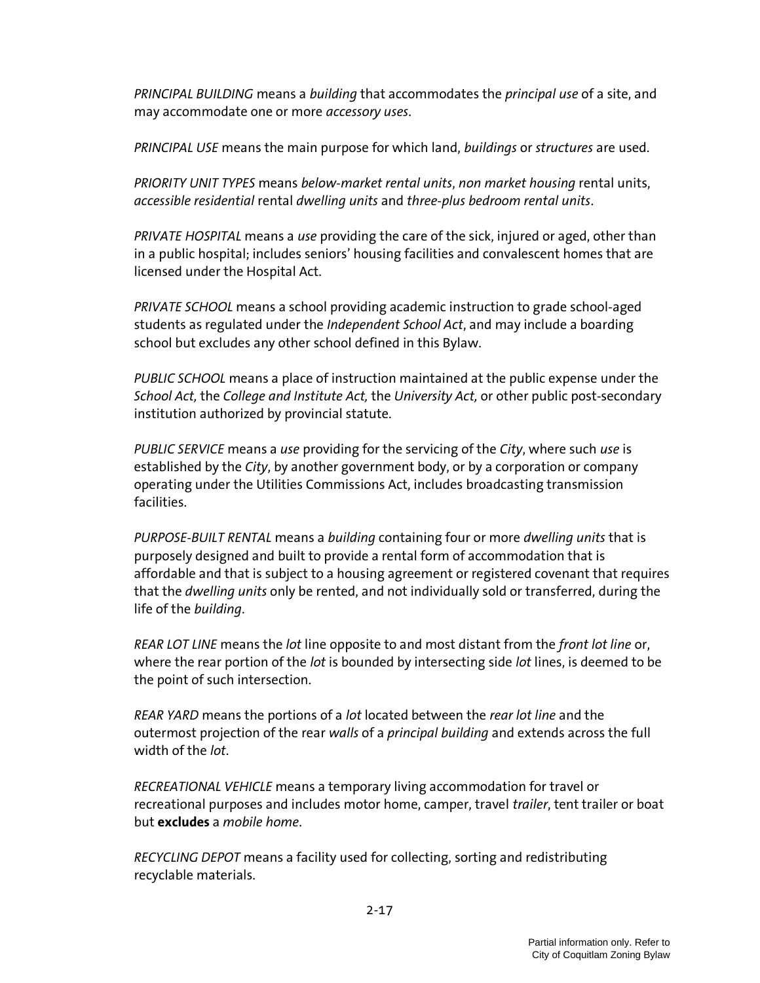PRINCIPAL BUILDING means a building that accommodates the principal use of a site, and may accommodate one or more *accessory uses*.

PRINCIPAL USE means the main purpose for which land, buildings or structures are used.

PRIORITY UNIT TYPES means below-market rental units, non market housing rental units, accessible residential rental dwelling units and three-plus bedroom rental units.

PRIVATE HOSPITAL means a use providing the care of the sick, injured or aged, other than in a public hospital; includes seniors' housing facilities and convalescent homes that are licensed under the Hospital Act.

PRIVATE SCHOOL means a school providing academic instruction to grade school-aged students as regulated under the *Independent School Act*, and may include a boarding school but excludes any other school defined in this Bylaw.

PUBLIC SCHOOL means a place of instruction maintained at the public expense under the School Act, the College and Institute Act, the University Act, or other public post-secondary institution authorized by provincial statute.

PUBLIC SERVICE means a use providing for the servicing of the City, where such use is established by the City, by another government body, or by a corporation or company operating under the Utilities Commissions Act, includes broadcasting transmission facilities.

PURPOSE-BUILT RENTAL means a building containing four or more dwelling units that is purposely designed and built to provide a rental form of accommodation that is affordable and that is subject to a housing agreement or registered covenant that requires that the *dwelling units* only be rented, and not individually sold or transferred, during the life of the building.

REAR LOT LINE means the lot line opposite to and most distant from the front lot line or, where the rear portion of the *lot* is bounded by intersecting side *lot* lines, is deemed to be the point of such intersection.

REAR YARD means the portions of a lot located between the rear lot line and the outermost projection of the rear walls of a *principal building* and extends across the full width of the *lot*.

RECREATIONAL VEHICLE means a temporary living accommodation for travel or recreational purposes and includes motor home, camper, travel trailer, tent trailer or boat but **excludes** a *mobile home*.

RECYCLING DEPOT means a facility used for collecting, sorting and redistributing recyclable materials.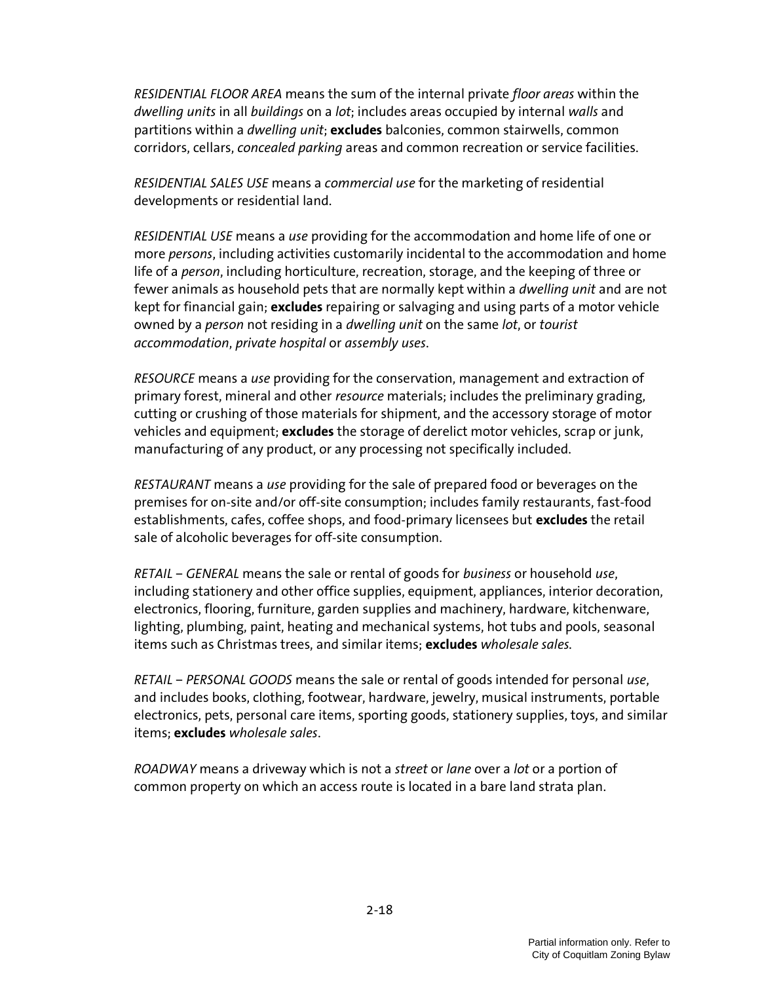RESIDENTIAL FLOOR AREA means the sum of the internal private floor areas within the dwelling units in all buildings on a lot; includes areas occupied by internal walls and partitions within a dwelling unit; excludes balconies, common stairwells, common corridors, cellars, concealed parking areas and common recreation or service facilities.

RESIDENTIAL SALES USE means a commercial use for the marketing of residential developments or residential land.

RESIDENTIAL USE means a use providing for the accommodation and home life of one or more persons, including activities customarily incidental to the accommodation and home life of a *person*, including horticulture, recreation, storage, and the keeping of three or fewer animals as household pets that are normally kept within a *dwelling unit* and are not kept for financial gain; excludes repairing or salvaging and using parts of a motor vehicle owned by a person not residing in a dwelling unit on the same lot, or tourist accommodation, private hospital or assembly uses.

RESOURCE means a use providing for the conservation, management and extraction of primary forest, mineral and other resource materials; includes the preliminary grading, cutting or crushing of those materials for shipment, and the accessory storage of motor vehicles and equipment; excludes the storage of derelict motor vehicles, scrap or junk, manufacturing of any product, or any processing not specifically included.

RESTAURANT means a use providing for the sale of prepared food or beverages on the premises for on-site and/or off-site consumption; includes family restaurants, fast-food establishments, cafes, coffee shops, and food-primary licensees but excludes the retail sale of alcoholic beverages for off-site consumption.

RETAIL – GENERAL means the sale or rental of goods for business or household use, including stationery and other office supplies, equipment, appliances, interior decoration, electronics, flooring, furniture, garden supplies and machinery, hardware, kitchenware, lighting, plumbing, paint, heating and mechanical systems, hot tubs and pools, seasonal items such as Christmas trees, and similar items: **excludes** wholesale sales.

RETAIL – PERSONAL GOODS means the sale or rental of goods intended for personal use, and includes books, clothing, footwear, hardware, jewelry, musical instruments, portable electronics, pets, personal care items, sporting goods, stationery supplies, toys, and similar items; **excludes** wholesale sales.

ROADWAY means a driveway which is not a street or lane over a lot or a portion of common property on which an access route is located in a bare land strata plan.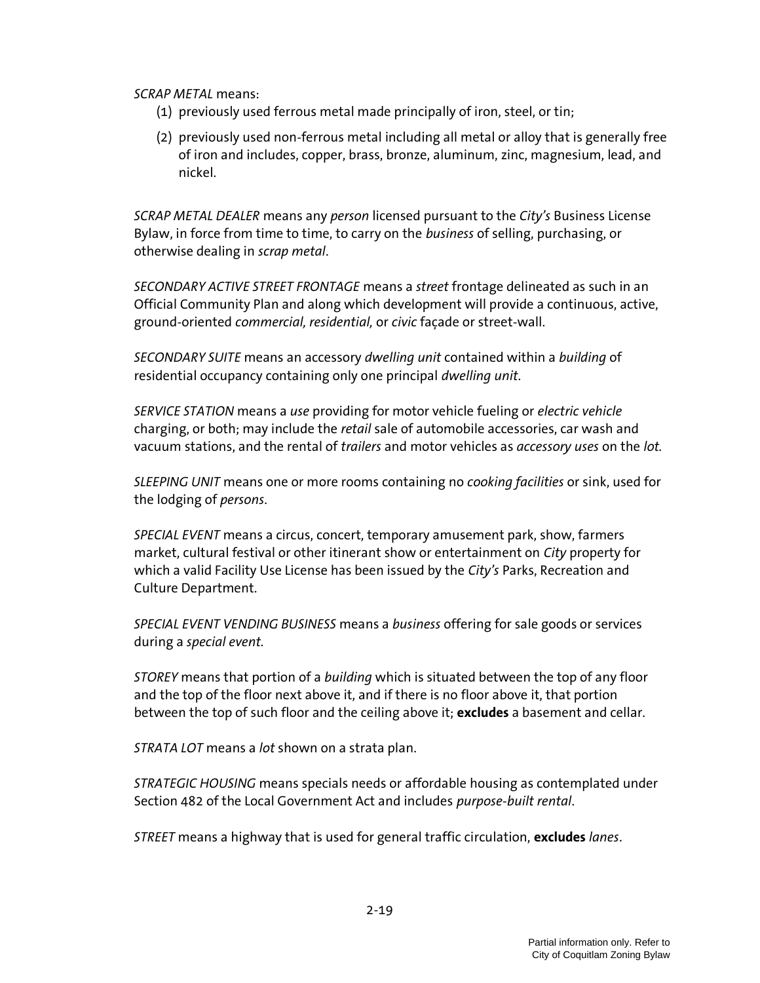SCRAP METAL means:

- (1) previously used ferrous metal made principally of iron, steel, or tin;
- (2) previously used non-ferrous metal including all metal or alloy that is generally free of iron and includes, copper, brass, bronze, aluminum, zinc, magnesium, lead, and nickel.

SCRAP METAL DEALER means any person licensed pursuant to the City's Business License Bylaw, in force from time to time, to carry on the *business* of selling, purchasing, or otherwise dealing in scrap metal.

SECONDARY ACTIVE STREET FRONTAGE means a street frontage delineated as such in an Official Community Plan and along which development will provide a continuous, active, ground-oriented commercial, residential, or civic façade or street-wall.

SECONDARY SUITE means an accessory dwelling unit contained within a building of residential occupancy containing only one principal dwelling unit.

SERVICE STATION means a use providing for motor vehicle fueling or electric vehicle charging, or both; may include the retail sale of automobile accessories, car wash and vacuum stations, and the rental of trailers and motor vehicles as accessory uses on the lot.

SLEEPING UNIT means one or more rooms containing no *cooking facilities* or sink, used for the lodging of persons.

SPECIAL EVENT means a circus, concert, temporary amusement park, show, farmers market, cultural festival or other itinerant show or entertainment on City property for which a valid Facility Use License has been issued by the  $City's$  Parks, Recreation and Culture Department.

SPECIAL EVENT VENDING BUSINESS means a business offering for sale goods or services during a special event.

STOREY means that portion of a building which is situated between the top of any floor and the top of the floor next above it, and if there is no floor above it, that portion between the top of such floor and the ceiling above it; **excludes** a basement and cellar.

STRATA LOT means a lot shown on a strata plan.

STRATEGIC HOUSING means specials needs or affordable housing as contemplated under Section 482 of the Local Government Act and includes purpose-built rental.

STREET means a highway that is used for general traffic circulation, excludes lanes.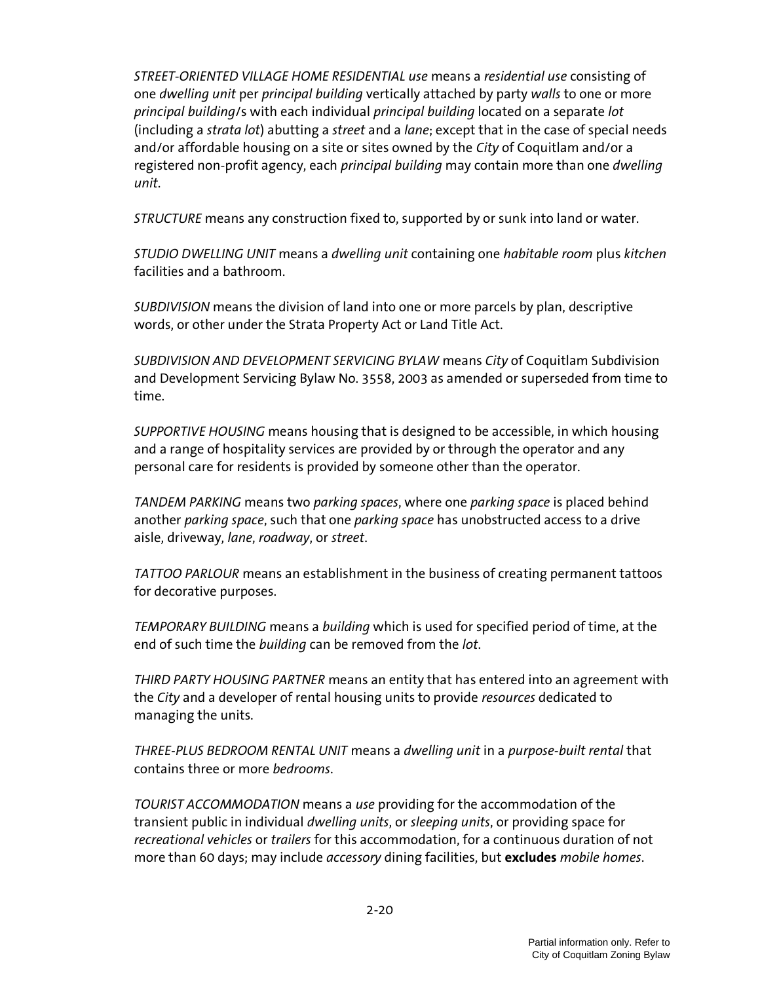STREET-ORIENTED VILLAGE HOME RESIDENTIAL use means a residential use consisting of one *dwelling unit per principal building* vertically attached by party walls to one or more principal building/s with each individual principal building located on a separate lot (including a strata lot) abutting a street and a lane; except that in the case of special needs and/or affordable housing on a site or sites owned by the City of Coquitlam and/or a registered non-profit agency, each *principal building* may contain more than one *dwelling* unit.

STRUCTURE means any construction fixed to, supported by or sunk into land or water.

STUDIO DWELLING UNIT means a dwelling unit containing one habitable room plus kitchen facilities and a bathroom.

SUBDIVISION means the division of land into one or more parcels by plan, descriptive words, or other under the Strata Property Act or Land Title Act.

SUBDIVISION AND DEVELOPMENT SERVICING BYLAW means City of Coquitlam Subdivision and Development Servicing Bylaw No. 3558, 2003 as amended or superseded from time to time.

SUPPORTIVE HOUSING means housing that is designed to be accessible, in which housing and a range of hospitality services are provided by or through the operator and any personal care for residents is provided by someone other than the operator.

TANDEM PARKING means two parking spaces, where one parking space is placed behind another parking space, such that one parking space has unobstructed access to a drive aisle, driveway, lane, roadway, or street.

TATTOO PARLOUR means an establishment in the business of creating permanent tattoos for decorative purposes.

TEMPORARY BUILDING means a building which is used for specified period of time, at the end of such time the building can be removed from the lot.

THIRD PARTY HOUSING PARTNER means an entity that has entered into an agreement with the City and a developer of rental housing units to provide *resources* dedicated to managing the units.

THREE-PLUS BEDROOM RENTAL UNIT means a dwelling unit in a purpose-built rental that contains three or more bedrooms.

TOURIST ACCOMMODATION means a use providing for the accommodation of the transient public in individual dwelling units, or sleeping units, or providing space for recreational vehicles or trailers for this accommodation, for a continuous duration of not more than 60 days; may include *accessory* dining facilities, but excludes mobile homes.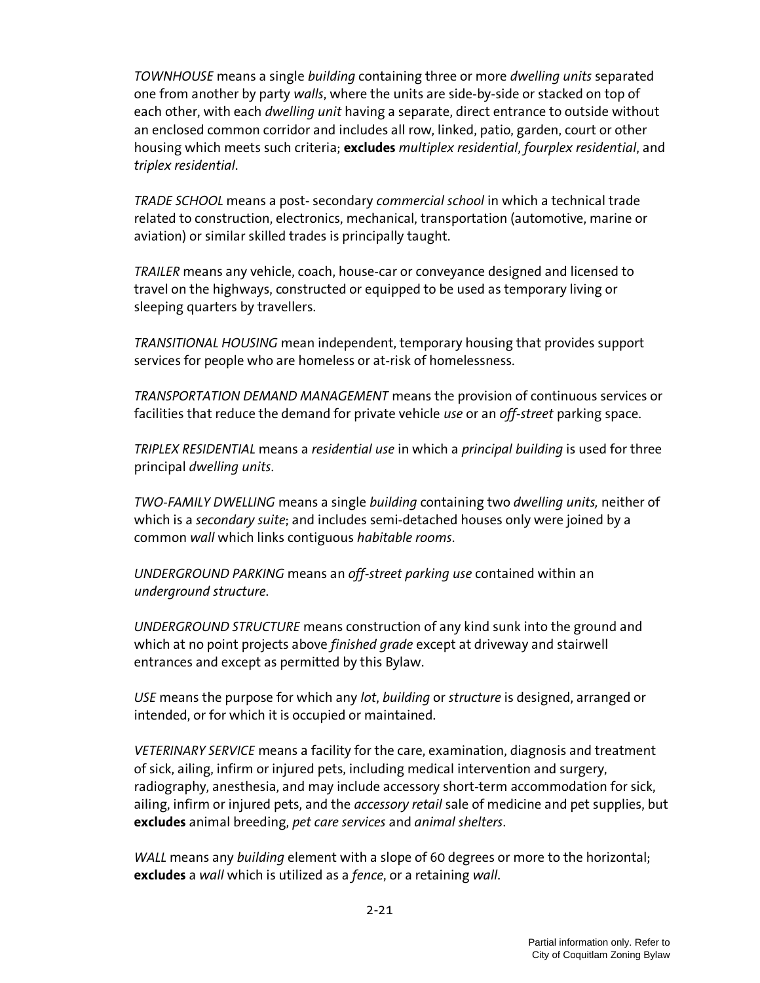TOWNHOUSE means a single building containing three or more dwelling units separated one from another by party walls, where the units are side-by-side or stacked on top of each other, with each *dwelling unit* having a separate, direct entrance to outside without an enclosed common corridor and includes all row, linked, patio, garden, court or other housing which meets such criteria; excludes multiplex residential, fourplex residential, and triplex residential.

TRADE SCHOOL means a post- secondary commercial school in which a technical trade related to construction, electronics, mechanical, transportation (automotive, marine or aviation) or similar skilled trades is principally taught.

TRAILER means any vehicle, coach, house-car or conveyance designed and licensed to travel on the highways, constructed or equipped to be used as temporary living or sleeping quarters by travellers.

TRANSITIONAL HOUSING mean independent, temporary housing that provides support services for people who are homeless or at-risk of homelessness.

TRANSPORTATION DEMAND MANAGEMENT means the provision of continuous services or facilities that reduce the demand for private vehicle use or an off-street parking space.

TRIPLEX RESIDENTIAL means a residential use in which a principal building is used for three principal dwelling units.

TWO-FAMILY DWELLING means a single building containing two dwelling units, neither of which is a secondary suite; and includes semi-detached houses only were joined by a common wall which links contiguous habitable rooms.

UNDERGROUND PARKING means an off-street parking use contained within an underground structure.

UNDERGROUND STRUCTURE means construction of any kind sunk into the ground and which at no point projects above *finished grade* except at driveway and stairwell entrances and except as permitted by this Bylaw.

USE means the purpose for which any lot, building or structure is designed, arranged or intended, or for which it is occupied or maintained.

VETERINARY SERVICE means a facility for the care, examination, diagnosis and treatment of sick, ailing, infirm or injured pets, including medical intervention and surgery, radiography, anesthesia, and may include accessory short-term accommodation for sick, ailing, infirm or injured pets, and the *accessory retail* sale of medicine and pet supplies, but excludes animal breeding, pet care services and animal shelters.

WALL means any building element with a slope of 60 degrees or more to the horizontal; excludes a wall which is utilized as a fence, or a retaining wall.